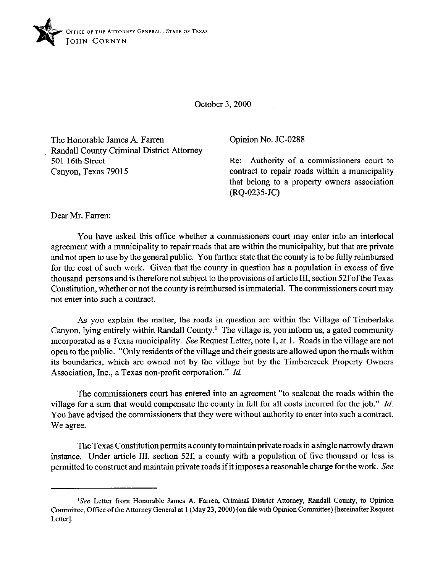

October 3,200O

The Honorable James A. Farren Randall County Criminal District Attorney 501 16th Street Canyon, Texas 79015

Opinion No. JC-0288

Re: Authority of a commissioners court to contract to repair roads within a municipality that belong to a property owners association  $(RO-0235-JC)$ 

Dear Mr. Farren:

You have asked this office whether a commissioners court may enter into an interlocal agreement with a municipality to repair roads that are within the municipality, but that are private and not open to use by the general public. You further state that the county is to be fully reimbursed for the cost of such work. Given that the county in question has a population in excess of five thousand persons and is therefore not subject to the provisions of article III, section 52fofthe Texas Constitution, whether or not the county is reimbursed is immaterial. The commissioners court may not enter into such a contract.

As you explain the matter, the roads in question are within the Village of Timberlake Canyon, lying entirely within Randall County.' The village is, you inform us, a gated community incorporated as a Texas municipality. See Request Letter, note 1, at 1. Roads in the village are not open to the public. "Only residents of the village and their guests are allowed upon the roads within its boundaries, which are owned not by the village but by the Timbercreek Property Owners Association, Inc., a Texas non-profit corporation." *Id.* 

The commissioners court has entered into an agreement "to sealcoat the roads within the village for a sum that would compensate the county in full for all costs incurred for the job." *Id.*  You have advised the commissioners that they were without authority to enter into such a contract. We agree.

The Texas Constitution permits a county to maintain private roads in a single narrowly drawn instance. Under article III, section 52f, a county with a population of five thousand or less is permitted to construct and maintain private roads if it imposes a reasonable charge for the work. See

<sup>&</sup>lt;sup>1</sup>See Letter from Honorable James A. Farren, Criminal District Attorney, Randall County, to Opinion **Committee, Offtce of the Attorney General at 1 (May 23,200O) (on file with Opinion Committee) [hereinafter Request Letter].**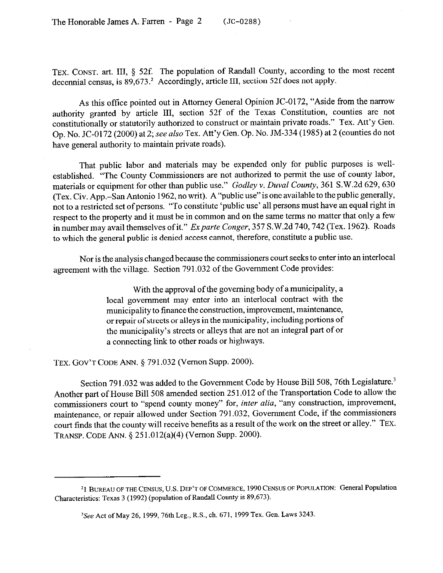TEX. CONST. art. III, § 52f. The population of Randall County, according to the most recent decennial census, is 89,673? Accordingly, article III, section 52f does not apply.

As this office pointed out in Attorney General Opinion JC-0172, "Aside from the narrow authority granted by article III, section 52f of the Texas Constitution, counties are not constitutionally or statutorily authorized to construct or maintain private roads." Tex. Att'y Gen. Op. No. JC-0172 (2000) at 2; see also Tex. Att'y Gen. Op. No. JM-334 (1985) at 2 (counties do not have general authority to maintain private roads).

That public labor and materials may be expended only for public purposes is wellestablished. "The County Commissioners are not authorized to permit the use of county labor, materials or equipment for other than public use." *Godley v. Duval County*, 361 S.W.2d 629, 630 (Tex. Civ. App.-San Antonio 1962, no writ). A'public use" is one available to the public generally, not to a restricted set of persons. "To constitute 'public use' all persons must have an equal right in respect to the property and it must be in common and on the same terms no matter that only a few in number may avail themselves of it." *Ex parte Conger*, 357 S.W.2d 740, 742 (Tex. 1962). Roads to which the general public is denied access cannot, therefore, constitute a public use.

Nor is the analysis changed because the commissioners court seeks to enter into an interlocal agreement with the village. Section 791.032 of the Government Code provides:

> With the approval of the governing body of a municipality, a local government may enter into an interlocal contract with the municipality to finance the construction, improvement, maintenance, or repair of streets or alleys in the municipality, including portions of the municipality's streets or alleys that are not an integral part of or a connecting link to other roads or highways.

**TEX. GOV'T CODE ANN. 5 791.032** (Vernon Supp. 2000).

Section 791.032 was added to the Government Code by House Bill 508, 76th Legislature.<sup>3</sup> Another part of House Bill 508 amended section 25 1.012 of the Transportation Code to allow the commissioners court to "spend county money" for, inter *alia,* "any construction, improvement, maintenance, or repair allowed under Section 791.032, Government Code, if the commissioners court finds that the county will receive benefits as a result of the work on the street or alley." **TEX. TRANSP. CODE ANN.** 5 25 1.012(a)(4) (Vernon Supp. 2000).

**<sup>&#</sup>x27;1 BUREAU OF THE CENSUS, U.S. DEP'T OF COMMERCE, 1990 CENSUS OF POPULATION: General Population Characteristics: Texas 3 (1992) (population of Randall County is 89,673).** 

<sup>&</sup>lt;sup>3</sup>See Act of May 26, 1999, 76th Leg., R.S., ch. 671, 1999 Tex. Gen. Laws 3243.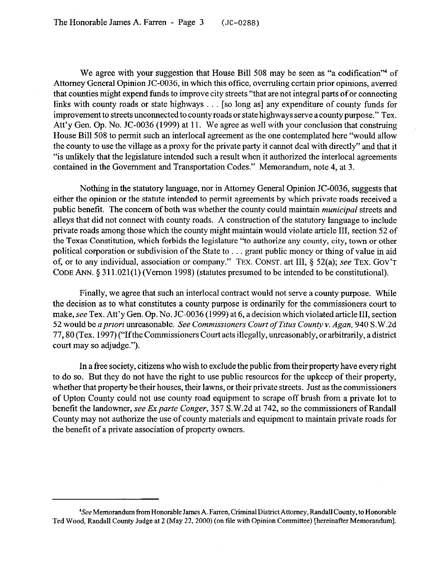We agree with your suggestion that House Bill 508 may be seen as "a codification"<sup>4</sup> of Attorney General Opinion JC-0036, in which this office, overruling certain prior opinions, averred that counties might expend funds to improve city streets "that are not integral parts of or connecting links with county roads or state highways  $\ldots$  [so long as] any expenditure of county funds for improvement to streets unconnected to county roads or state highways serve acounty purpose." Tex. Att'y Gen. Op. No. JC-0036 (1999) at 11. We agree as well with your conclusion that construing House Bill 508 to permit such an interlocal agreement as the one contemplated here "would allow the county to use the village as a proxy for the private party it cannot deal with directly" and that it "is unlikely that the legislature intended such a result when it authorized the interlocal agreements contained in the Government and Transportation Codes." Memorandum, note 4, at 3.

Nothing in the statutory language, nor in Attorney General Opinion JC-0036, suggests that either the opinion or the statute intended to permit agreements by which private roads received a public benefit. The concern of both was whether the county could maintain *municipal* streets and alleys that did not connect with county roads. A construction of the statutory language to include private roads among those which the county might maintain would violate article III, section 52 of the Texas Constitution, which forbids the legislature "to authorize any county, city, town or other political corporation or subdivision of the State to  $\ldots$  grant public money or thing of value in aid of, or to any individual, association or company." TEX. CONST. art III, § 52(a); see TEX. GOV'T **CODE** ANN. 5 311.021(l) (Vernon 1998) (statutes presumed to be intended to be constitutional).

Finally, we agree that such an interlocal contract would not serve a county purpose. While the decision as to what constitutes a county purpose is ordinarily for the commissioners court to make, see Tex. Att'y Gen. Op. No. JC-0036 (1999) at 6, a decision which violated article III, section 52 would be *apriori* unreasonable. *See Commissioners Court of Titus County v. Agan, 940* S.W.2d 77,SO (Tex. 1997) ("Ifthe Commissioners Court acts illegally, unreasonably, or arbitrarily, a district court may so adjudge.").

In a free society, citizens who wish to exclude the public from their property have every right to do so. But they do not have the right to use public resources for the upkeep of their property, whether that property be their houses, their lawns, or their private streets. Just as the commissioners of Upton County could not use county road equipment to scrape off brush from a private lot to benefit the landowner, *see Exparfe Conger,* 357 S.W.2d at 742, so the commissioners of Randall County may not authorize the use of county materials and equipment to maintain private roads for the benefit of a private association of property owners.

<sup>&</sup>quot;See **Memorandum** from **Honorable** James A. Farten, **Criminal** District Attorney, **Randall County, to Honorable**  Ted Wood, Randall County Judge at 2 (May 22, 2000) (on file with Opinion Committee) [hereinafter Memorandum].